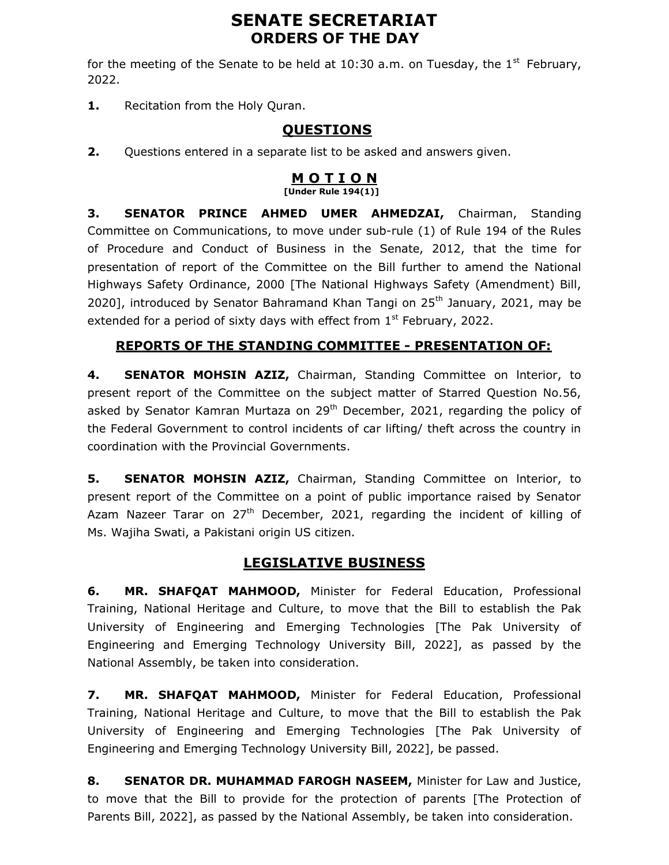# SENATE SECRETARIAT ORDERS OF THE DAY

for the meeting of the Senate to be held at 10:30 a.m. on Tuesday, the  $1^{st}$  February, 2022.

1. Recitation from the Holy Quran.

## QUESTIONS

**2.** Questions entered in a separate list to be asked and answers given.

#### <u>M O T I O N</u>  $[Under Rule 194(1)]$

3. SENATOR PRINCE AHMED UMER AHMEDZAI, Chairman, Standing Committee on Communications, to move under sub-rule (1) of Rule 194 of the Rules of Procedure and Conduct of Business in the Senate, 2012, that the time for presentation of report of the Committee on the Bill further to amend the National Highways Safety Ordinance, 2000 [The National Highways Safety (Amendment) Bill, 2020], introduced by Senator Bahramand Khan Tangi on  $25<sup>th</sup>$  January, 2021, may be extended for a period of sixty days with effect from  $1<sup>st</sup>$  February, 2022.

## REPORTS OF THE STANDING COMMITTEE - PRESENTATION OF:

4. SENATOR MOHSIN AZIZ, Chairman, Standing Committee on Interior, to present report of the Committee on the subject matter of Starred Question No.56, asked by Senator Kamran Murtaza on  $29<sup>th</sup>$  December, 2021, regarding the policy of the Federal Government to control incidents of car lifting/ theft across the country in coordination with the Provincial Governments.

5. SENATOR MOHSIN AZIZ, Chairman, Standing Committee on Interior, to present report of the Committee on a point of public importance raised by Senator Azam Nazeer Tarar on  $27<sup>th</sup>$  December, 2021, regarding the incident of killing of Ms. Wajiha Swati, a Pakistani origin US citizen.

# LEGISLATIVE BUSINESS

6. MR. SHAFQAT MAHMOOD, Minister for Federal Education, Professional Training, National Heritage and Culture, to move that the Bill to establish the Pak University of Engineering and Emerging Technologies [The Pak University of Engineering and Emerging Technology University Bill, 2022], as passed by the National Assembly, be taken into consideration.

7. MR. SHAFQAT MAHMOOD, Minister for Federal Education, Professional Training, National Heritage and Culture, to move that the Bill to establish the Pak University of Engineering and Emerging Technologies [The Pak University of Engineering and Emerging Technology University Bill, 2022], be passed.

8. SENATOR DR. MUHAMMAD FAROGH NASEEM, Minister for Law and Justice, to move that the Bill to provide for the protection of parents [The Protection of Parents Bill, 2022], as passed by the National Assembly, be taken into consideration.